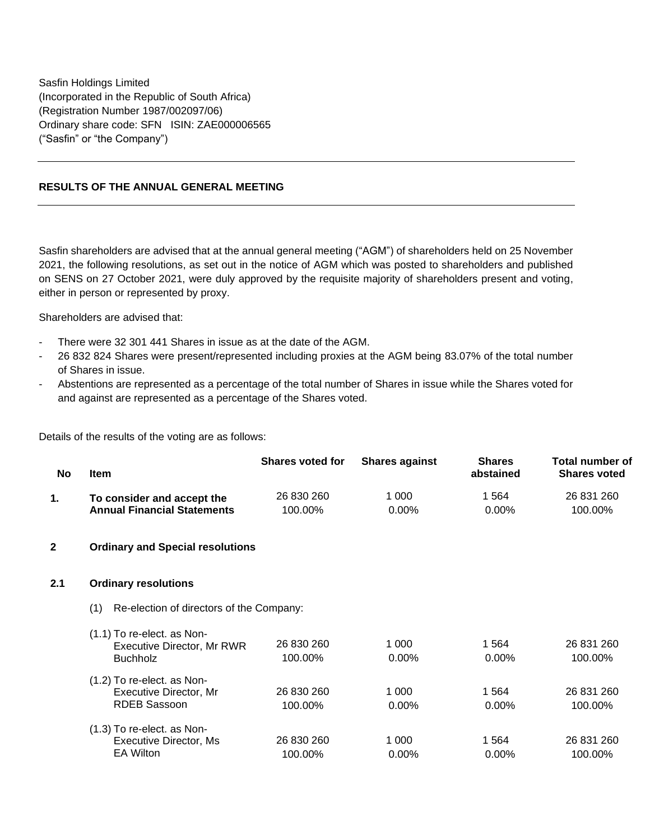Sasfin Holdings Limited (Incorporated in the Republic of South Africa) (Registration Number 1987/002097/06) Ordinary share code: SFN ISIN: ZAE000006565 ("Sasfin" or "the Company")

## **RESULTS OF THE ANNUAL GENERAL MEETING**

Sasfin shareholders are advised that at the annual general meeting ("AGM") of shareholders held on 25 November 2021, the following resolutions, as set out in the notice of AGM which was posted to shareholders and published on SENS on 27 October 2021, were duly approved by the requisite majority of shareholders present and voting, either in person or represented by proxy.

Shareholders are advised that:

- There were 32 301 441 Shares in issue as at the date of the AGM.
- 26 832 824 Shares were present/represented including proxies at the AGM being 83.07% of the total number of Shares in issue.
- Abstentions are represented as a percentage of the total number of Shares in issue while the Shares voted for and against are represented as a percentage of the Shares voted.

Details of the results of the voting are as follows:

| No             | <b>Item</b>                                                                     | <b>Shares voted for</b> | <b>Shares against</b> | <b>Shares</b><br>abstained | <b>Total number of</b><br><b>Shares voted</b> |  |  |  |  |
|----------------|---------------------------------------------------------------------------------|-------------------------|-----------------------|----------------------------|-----------------------------------------------|--|--|--|--|
| 1.             | To consider and accept the<br><b>Annual Financial Statements</b>                | 26 830 260<br>100.00%   | 1 000<br>$0.00\%$     | 1 5 6 4<br>$0.00\%$        | 26 831 260<br>100.00%                         |  |  |  |  |
| $\overline{2}$ | <b>Ordinary and Special resolutions</b>                                         |                         |                       |                            |                                               |  |  |  |  |
| 2.1            | <b>Ordinary resolutions</b>                                                     |                         |                       |                            |                                               |  |  |  |  |
|                | Re-election of directors of the Company:<br>(1)                                 |                         |                       |                            |                                               |  |  |  |  |
|                | (1.1) To re-elect. as Non-<br>Executive Director, Mr RWR<br><b>Buchholz</b>     | 26 830 260<br>100.00%   | 1 0 0 0<br>$0.00\%$   | 1 5 6 4<br>$0.00\%$        | 26 831 260<br>100.00%                         |  |  |  |  |
|                | (1.2) To re-elect. as Non-<br>Executive Director, Mr<br><b>RDEB Sassoon</b>     | 26 830 260<br>100.00%   | 1 0 0 0<br>0.00%      | 1 5 6 4<br>$0.00\%$        | 26 831 260<br>100.00%                         |  |  |  |  |
|                | (1.3) To re-elect. as Non-<br><b>Executive Director, Ms</b><br><b>EA Wilton</b> | 26 830 260<br>100.00%   | 1 0 0 0<br>$0.00\%$   | 1 5 6 4<br>$0.00\%$        | 26 831 260<br>100.00%                         |  |  |  |  |